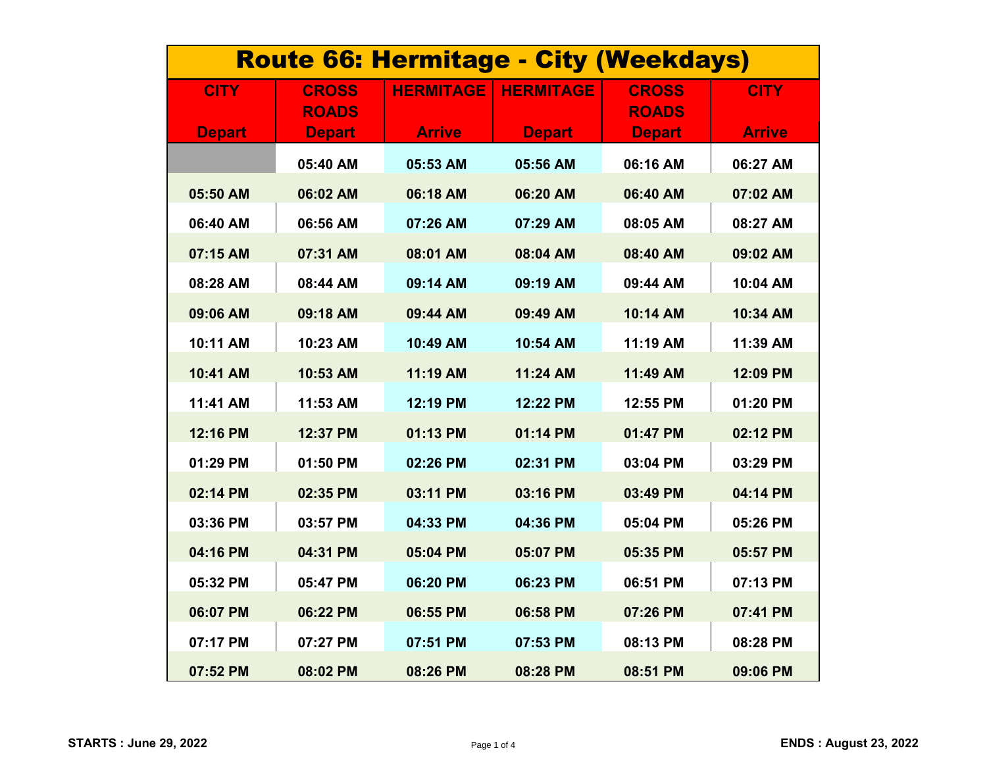| Route 66: Hermitage - City (Weekdays) |                              |                  |                  |                              |               |
|---------------------------------------|------------------------------|------------------|------------------|------------------------------|---------------|
| <b>CITY</b>                           | <b>CROSS</b><br><b>ROADS</b> | <b>HERMITAGE</b> | <b>HERMITAGE</b> | <b>CROSS</b><br><b>ROADS</b> | <b>CITY</b>   |
| <b>Depart</b>                         | <b>Depart</b>                | <b>Arrive</b>    | <b>Depart</b>    | <b>Depart</b>                | <b>Arrive</b> |
|                                       | 05:40 AM                     | 05:53 AM         | 05:56 AM         | 06:16 AM                     | 06:27 AM      |
| 05:50 AM                              | 06:02 AM                     | 06:18 AM         | 06:20 AM         | 06:40 AM                     | 07:02 AM      |
| 06:40 AM                              | 06:56 AM                     | 07:26 AM         | 07:29 AM         | 08:05 AM                     | 08:27 AM      |
| 07:15 AM                              | 07:31 AM                     | 08:01 AM         | 08:04 AM         | 08:40 AM                     | 09:02 AM      |
| 08:28 AM                              | 08:44 AM                     | 09:14 AM         | 09:19 AM         | 09:44 AM                     | 10:04 AM      |
| 09:06 AM                              | 09:18 AM                     | 09:44 AM         | 09:49 AM         | 10:14 AM                     | 10:34 AM      |
| 10:11 AM                              | 10:23 AM                     | 10:49 AM         | 10:54 AM         | 11:19 AM                     | 11:39 AM      |
| 10:41 AM                              | 10:53 AM                     | 11:19 AM         | 11:24 AM         | 11:49 AM                     | 12:09 PM      |
| 11:41 AM                              | 11:53 AM                     | 12:19 PM         | 12:22 PM         | 12:55 PM                     | 01:20 PM      |
| 12:16 PM                              | 12:37 PM                     | 01:13 PM         | 01:14 PM         | 01:47 PM                     | 02:12 PM      |
| 01:29 PM                              | 01:50 PM                     | 02:26 PM         | 02:31 PM         | 03:04 PM                     | 03:29 PM      |
| 02:14 PM                              | 02:35 PM                     | 03:11 PM         | 03:16 PM         | 03:49 PM                     | 04:14 PM      |
| 03:36 PM                              | 03:57 PM                     | 04:33 PM         | 04:36 PM         | 05:04 PM                     | 05:26 PM      |
| 04:16 PM                              | 04:31 PM                     | 05:04 PM         | 05:07 PM         | 05:35 PM                     | 05:57 PM      |
| 05:32 PM                              | 05:47 PM                     | 06:20 PM         | 06:23 PM         | 06:51 PM                     | 07:13 PM      |
| 06:07 PM                              | 06:22 PM                     | 06:55 PM         | 06:58 PM         | 07:26 PM                     | 07:41 PM      |
| 07:17 PM                              | 07:27 PM                     | 07:51 PM         | 07:53 PM         | 08:13 PM                     | 08:28 PM      |
| 07:52 PM                              | 08:02 PM                     | 08:26 PM         | 08:28 PM         | 08:51 PM                     | 09:06 PM      |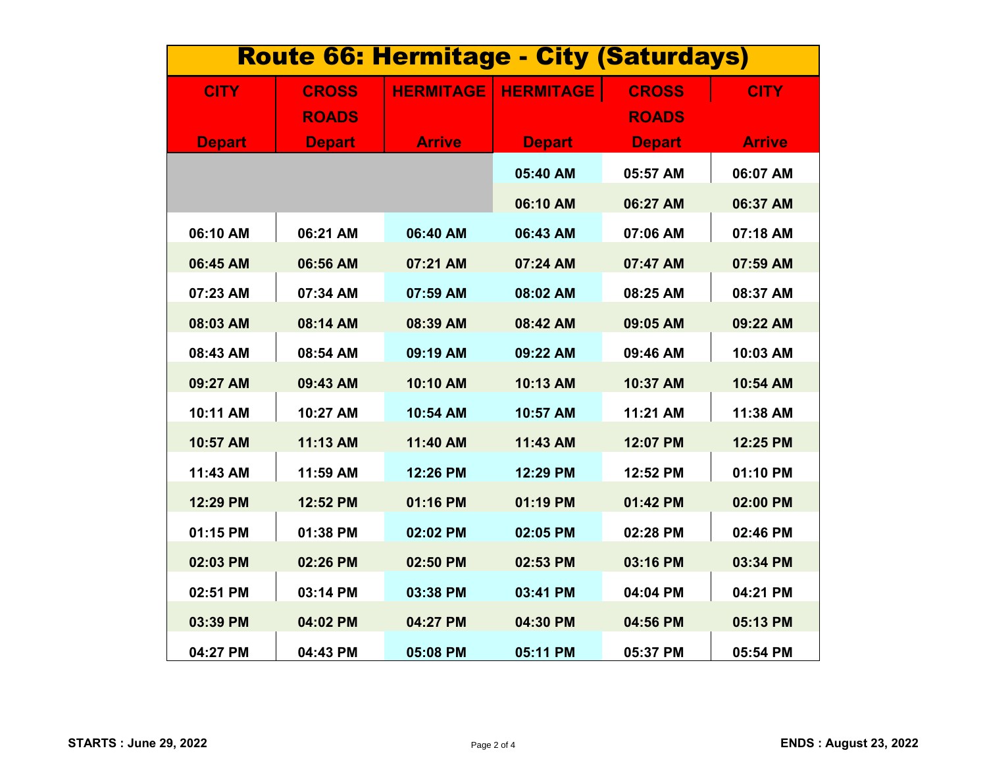| Route 66: Hermitage - City (Saturdays) |               |                  |                  |               |               |
|----------------------------------------|---------------|------------------|------------------|---------------|---------------|
| <b>CITY</b>                            | <b>CROSS</b>  | <b>HERMITAGE</b> | <b>HERMITAGE</b> | <b>CROSS</b>  | <b>CITY</b>   |
|                                        | <b>ROADS</b>  |                  |                  | <b>ROADS</b>  |               |
| <b>Depart</b>                          | <b>Depart</b> | <b>Arrive</b>    | <b>Depart</b>    | <b>Depart</b> | <b>Arrive</b> |
|                                        |               |                  | 05:40 AM         | 05:57 AM      | 06:07 AM      |
|                                        |               |                  | 06:10 AM         | 06:27 AM      | 06:37 AM      |
| 06:10 AM                               | 06:21 AM      | 06:40 AM         | 06:43 AM         | 07:06 AM      | 07:18 AM      |
| 06:45 AM                               | 06:56 AM      | 07:21 AM         | 07:24 AM         | 07:47 AM      | 07:59 AM      |
| 07:23 AM                               | 07:34 AM      | 07:59 AM         | 08:02 AM         | 08:25 AM      | 08:37 AM      |
| 08:03 AM                               | 08:14 AM      | 08:39 AM         | 08:42 AM         | 09:05 AM      | 09:22 AM      |
| 08:43 AM                               | 08:54 AM      | 09:19 AM         | 09:22 AM         | 09:46 AM      | 10:03 AM      |
| 09:27 AM                               | 09:43 AM      | 10:10 AM         | 10:13 AM         | 10:37 AM      | 10:54 AM      |
| 10:11 AM                               | 10:27 AM      | 10:54 AM         | 10:57 AM         | 11:21 AM      | 11:38 AM      |
| 10:57 AM                               | 11:13 AM      | 11:40 AM         | 11:43 AM         | 12:07 PM      | 12:25 PM      |
| 11:43 AM                               | 11:59 AM      | 12:26 PM         | 12:29 PM         | 12:52 PM      | 01:10 PM      |
| 12:29 PM                               | 12:52 PM      | 01:16 PM         | 01:19 PM         | 01:42 PM      | 02:00 PM      |
| 01:15 PM                               | 01:38 PM      | 02:02 PM         | 02:05 PM         | 02:28 PM      | 02:46 PM      |
| 02:03 PM                               | 02:26 PM      | 02:50 PM         | 02:53 PM         | 03:16 PM      | 03:34 PM      |
| 02:51 PM                               | 03:14 PM      | 03:38 PM         | 03:41 PM         | 04:04 PM      | 04:21 PM      |
| 03:39 PM                               | 04:02 PM      | 04:27 PM         | 04:30 PM         | 04:56 PM      | 05:13 PM      |
| 04:27 PM                               | 04:43 PM      | 05:08 PM         | 05:11 PM         | 05:37 PM      | 05:54 PM      |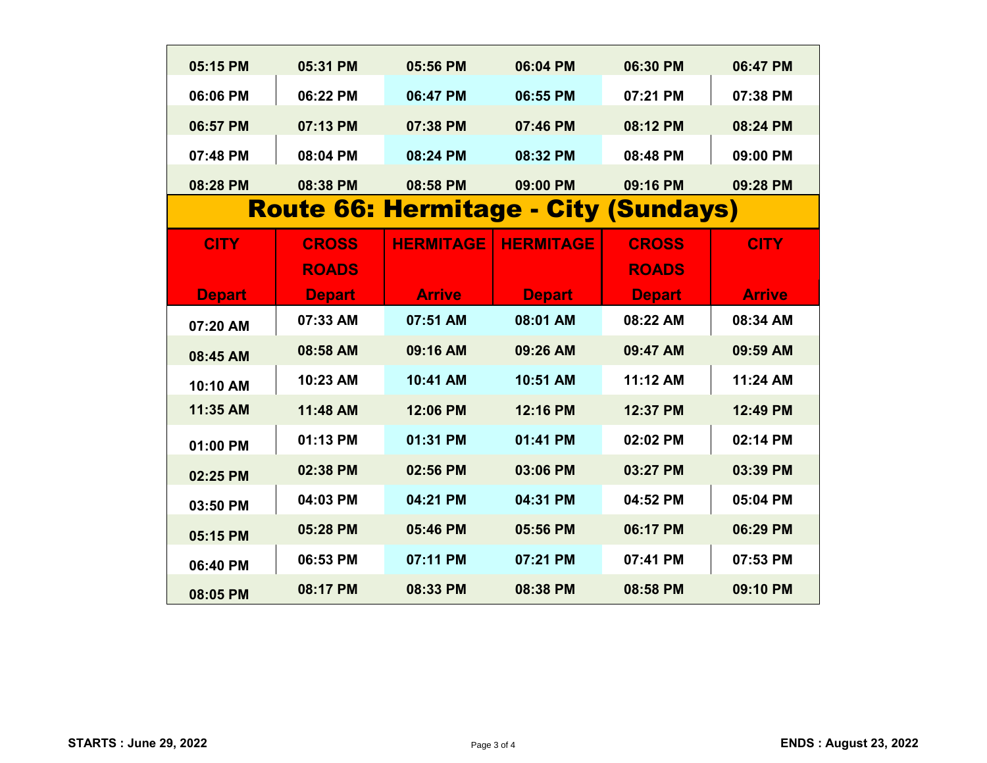| 05:15 PM                                    | 05:31 PM      | 05:56 PM         | 06:04 PM         | 06:30 PM      | 06:47 PM      |  |
|---------------------------------------------|---------------|------------------|------------------|---------------|---------------|--|
| 06:06 PM                                    | 06:22 PM      | 06:47 PM         | 06:55 PM         | 07:21 PM      | 07:38 PM      |  |
| 06:57 PM                                    | 07:13 PM      | 07:38 PM         | 07:46 PM         | 08:12 PM      | 08:24 PM      |  |
| 07:48 PM                                    | 08:04 PM      | 08:24 PM         | 08:32 PM         | 08:48 PM      | 09:00 PM      |  |
| 08:28 PM                                    | 08:38 PM      | 08:58 PM         | 09:00 PM         | 09:16 PM      | 09:28 PM      |  |
| <b>Route 66: Hermitage - City (Sundays)</b> |               |                  |                  |               |               |  |
| <b>CITY</b>                                 | <b>CROSS</b>  | <b>HERMITAGE</b> | <b>HERMITAGE</b> | <b>CROSS</b>  | <b>CITY</b>   |  |
|                                             | <b>ROADS</b>  |                  |                  | <b>ROADS</b>  |               |  |
| <b>Depart</b>                               | <b>Depart</b> | <b>Arrive</b>    | <b>Depart</b>    | <b>Depart</b> | <b>Arrive</b> |  |
| 07:20 AM                                    | 07:33 AM      | 07:51 AM         | 08:01 AM         | 08:22 AM      | 08:34 AM      |  |
| 08:45 AM                                    | 08:58 AM      | 09:16 AM         | 09:26 AM         | 09:47 AM      | 09:59 AM      |  |
| 10:10 AM                                    | 10:23 AM      | 10:41 AM         | 10:51 AM         | 11:12 AM      | 11:24 AM      |  |
| 11:35 AM                                    | 11:48 AM      | 12:06 PM         | 12:16 PM         | 12:37 PM      | 12:49 PM      |  |
| 01:00 PM                                    | 01:13 PM      | 01:31 PM         | 01:41 PM         | 02:02 PM      | 02:14 PM      |  |
| 02:25 PM                                    | 02:38 PM      | 02:56 PM         | 03:06 PM         | 03:27 PM      | 03:39 PM      |  |
| 03:50 PM                                    | 04:03 PM      | 04:21 PM         | 04:31 PM         | 04:52 PM      | 05:04 PM      |  |
| 05:15 PM                                    | 05:28 PM      | 05:46 PM         | 05:56 PM         | 06:17 PM      | 06:29 PM      |  |
| 06:40 PM                                    | 06:53 PM      | 07:11 PM         | 07:21 PM         | 07:41 PM      | 07:53 PM      |  |
| 08:05 PM                                    | 08:17 PM      | 08:33 PM         | 08:38 PM         | 08:58 PM      | 09:10 PM      |  |